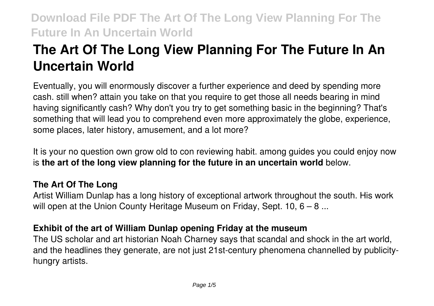# **The Art Of The Long View Planning For The Future In An Uncertain World**

Eventually, you will enormously discover a further experience and deed by spending more cash. still when? attain you take on that you require to get those all needs bearing in mind having significantly cash? Why don't you try to get something basic in the beginning? That's something that will lead you to comprehend even more approximately the globe, experience, some places, later history, amusement, and a lot more?

It is your no question own grow old to con reviewing habit. among guides you could enjoy now is **the art of the long view planning for the future in an uncertain world** below.

## **The Art Of The Long**

Artist William Dunlap has a long history of exceptional artwork throughout the south. His work will open at the Union County Heritage Museum on Friday, Sept. 10, 6 – 8 ...

#### **Exhibit of the art of William Dunlap opening Friday at the museum**

The US scholar and art historian Noah Charney says that scandal and shock in the art world, and the headlines they generate, are not just 21st-century phenomena channelled by publicityhungry artists.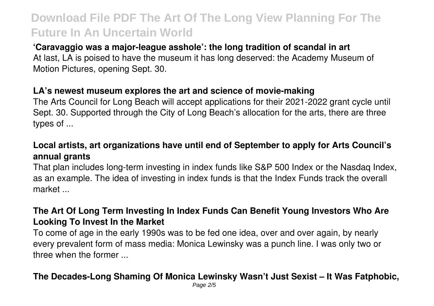### **'Caravaggio was a major-league asshole': the long tradition of scandal in art**

At last, LA is poised to have the museum it has long deserved: the Academy Museum of Motion Pictures, opening Sept. 30.

### **LA's newest museum explores the art and science of movie-making**

The Arts Council for Long Beach will accept applications for their 2021-2022 grant cycle until Sept. 30. Supported through the City of Long Beach's allocation for the arts, there are three types of ...

## **Local artists, art organizations have until end of September to apply for Arts Council's annual grants**

That plan includes long-term investing in index funds like S&P 500 Index or the Nasdaq Index, as an example. The idea of investing in index funds is that the Index Funds track the overall market ...

## **The Art Of Long Term Investing In Index Funds Can Benefit Young Investors Who Are Looking To Invest In the Market**

To come of age in the early 1990s was to be fed one idea, over and over again, by nearly every prevalent form of mass media: Monica Lewinsky was a punch line. I was only two or three when the former ...

#### **The Decades-Long Shaming Of Monica Lewinsky Wasn't Just Sexist – It Was Fatphobic,**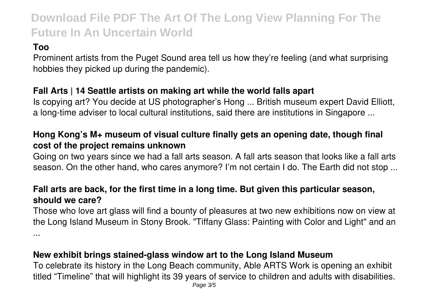## **Too**

Prominent artists from the Puget Sound area tell us how they're feeling (and what surprising hobbies they picked up during the pandemic).

### **Fall Arts | 14 Seattle artists on making art while the world falls apart**

Is copying art? You decide at US photographer's Hong ... British museum expert David Elliott, a long-time adviser to local cultural institutions, said there are institutions in Singapore ...

## **Hong Kong's M+ museum of visual culture finally gets an opening date, though final cost of the project remains unknown**

Going on two years since we had a fall arts season. A fall arts season that looks like a fall arts season. On the other hand, who cares anymore? I'm not certain I do. The Earth did not stop ...

## **Fall arts are back, for the first time in a long time. But given this particular season, should we care?**

Those who love art glass will find a bounty of pleasures at two new exhibitions now on view at the Long Island Museum in Stony Brook. "Tiffany Glass: Painting with Color and Light" and an ...

## **New exhibit brings stained-glass window art to the Long Island Museum**

To celebrate its history in the Long Beach community, Able ARTS Work is opening an exhibit titled "Timeline" that will highlight its 39 years of service to children and adults with disabilities.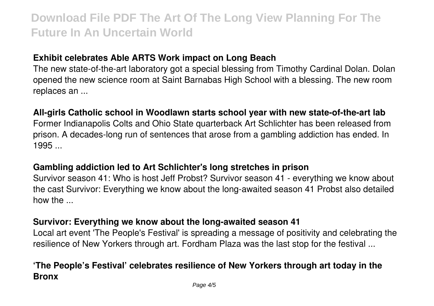#### **Exhibit celebrates Able ARTS Work impact on Long Beach**

The new state-of-the-art laboratory got a special blessing from Timothy Cardinal Dolan. Dolan opened the new science room at Saint Barnabas High School with a blessing. The new room replaces an ...

#### **All-girls Catholic school in Woodlawn starts school year with new state-of-the-art lab**

Former Indianapolis Colts and Ohio State quarterback Art Schlichter has been released from prison. A decades-long run of sentences that arose from a gambling addiction has ended. In  $1995...$ 

#### **Gambling addiction led to Art Schlichter's long stretches in prison**

Survivor season 41: Who is host Jeff Probst? Survivor season 41 - everything we know about the cast Survivor: Everything we know about the long-awaited season 41 Probst also detailed how the ...

#### **Survivor: Everything we know about the long-awaited season 41**

Local art event 'The People's Festival' is spreading a message of positivity and celebrating the resilience of New Yorkers through art. Fordham Plaza was the last stop for the festival ...

## **'The People's Festival' celebrates resilience of New Yorkers through art today in the Bronx**